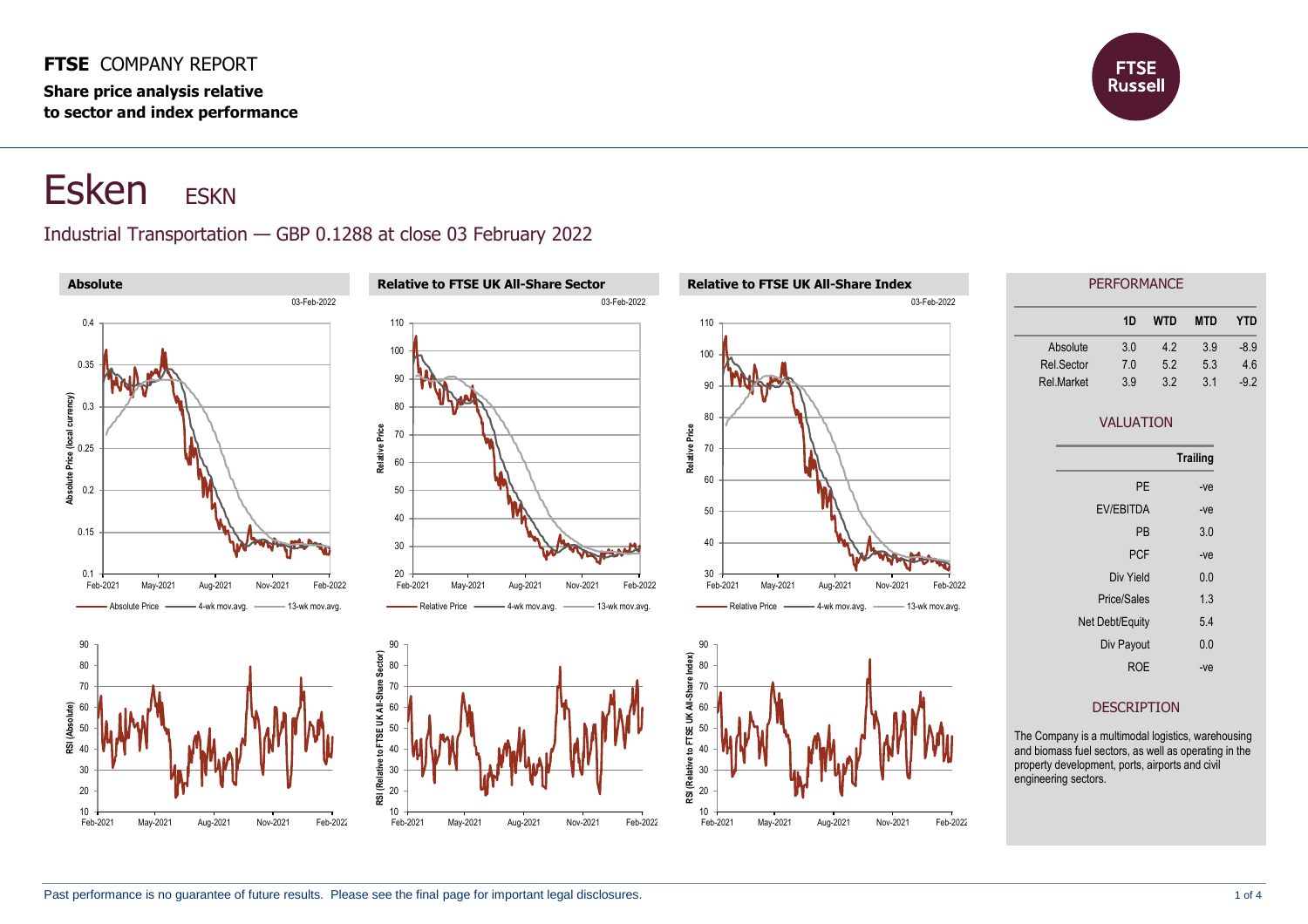#### **FTSE** COMPANY REPORT

**Share price analysis relative to sector and index performance**



# Esken ESKN

#### Industrial Transportation — GBP 0.1288 at close 03 February 2022

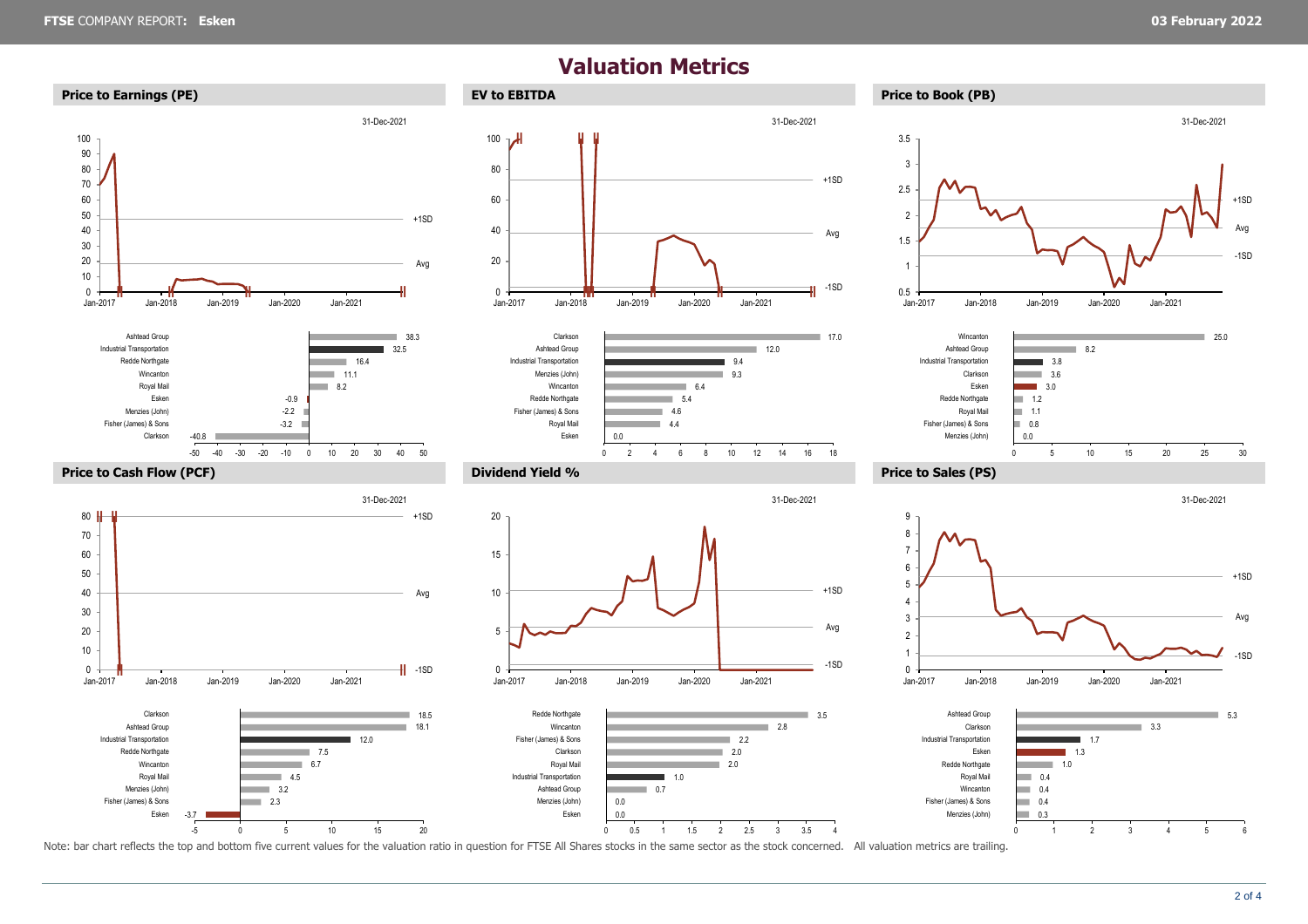### **Valuation Metrics**









#### **Price to Cash Flow (PCF) Dividend Yield % Price to Sales (PS)**



-5 0 5 10 15 20









0 5 10 15 20 25 30



Note: bar chart reflects the top and bottom five current values for the valuation ratio in question for FTSE All Shares stocks in the same sector as the stock concerned. All valuation metrics are trailing.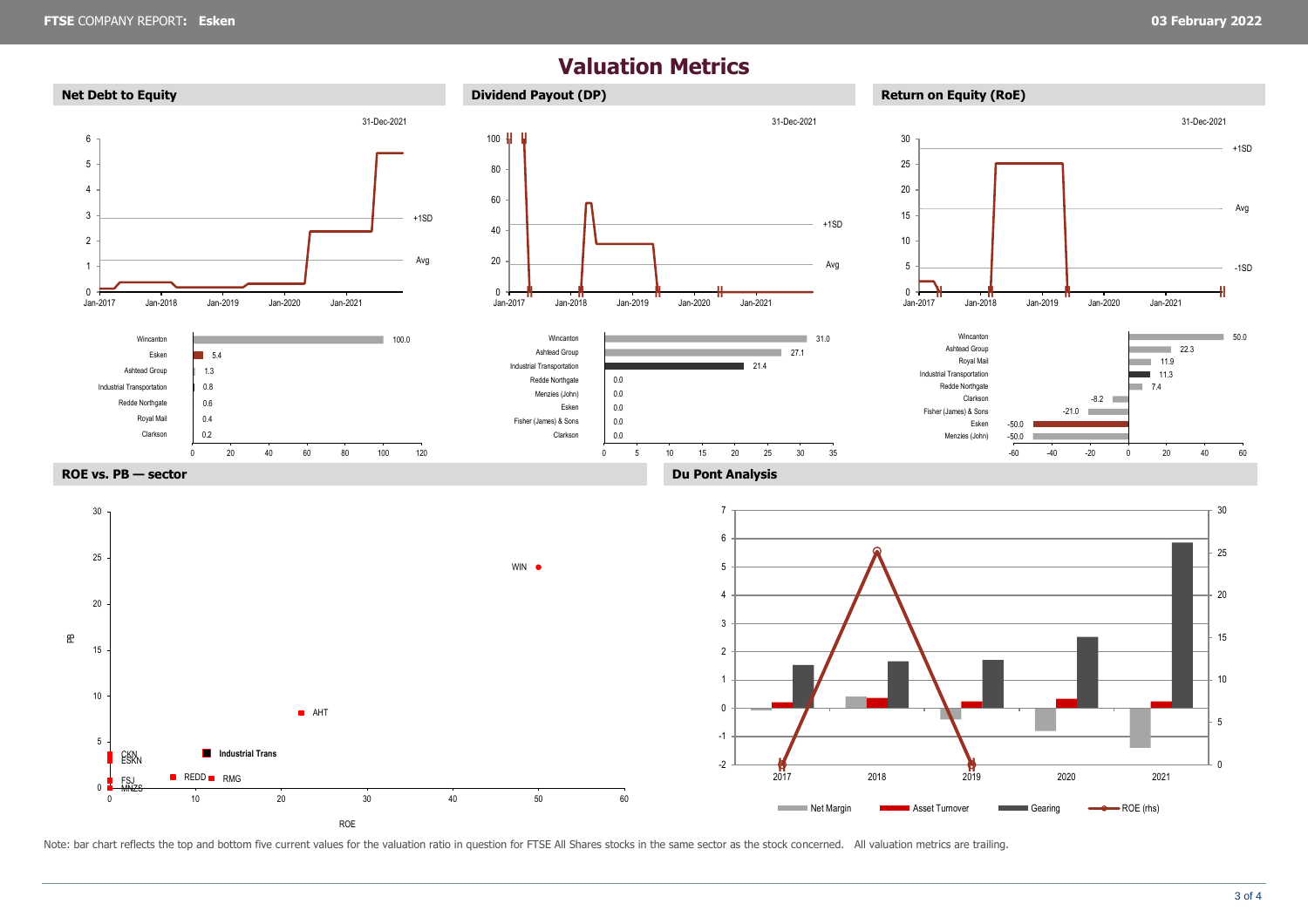## **Valuation Metrics**



Note: bar chart reflects the top and bottom five current values for the valuation ratio in question for FTSE All Shares stocks in the same sector as the stock concerned. All valuation metrics are trailing.